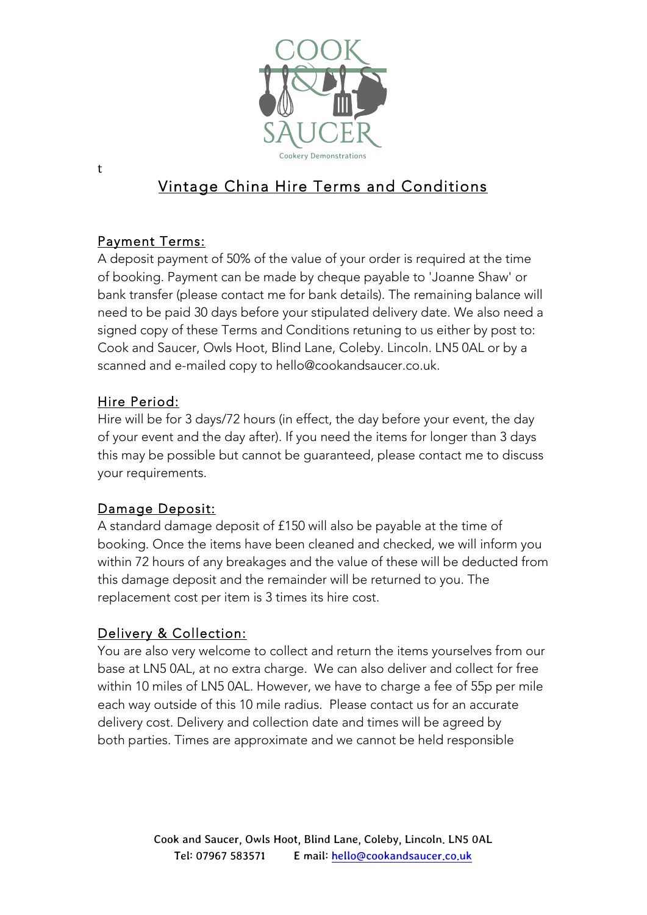

# Vintage China Hire Terms and Conditions

#### Payment Terms:

A deposit payment of 50% of the value of your order is required at the time of booking. Payment can be made by cheque payable to 'Joanne Shaw' or bank transfer (please contact me for bank details). The remaining balance will need to be paid 30 days before your stipulated delivery date. We also need a signed copy of these Terms and Conditions retuning to us either by post to: Cook and Saucer, Owls Hoot, Blind Lane, Coleby. Lincoln. LN5 0AL or by a scanned and e-mailed copy to hello@cookandsaucer.co.uk.

#### Hire Period:

Hire will be for 3 days/72 hours (in effect, the day before your event, the day of your event and the day after). If you need the items for longer than 3 days this may be possible but cannot be guaranteed, please contact me to discuss your requirements.

#### Damage Deposit:

A standard damage deposit of £150 will also be payable at the time of booking. Once the items have been cleaned and checked, we will inform you within 72 hours of any breakages and the value of these will be deducted from this damage deposit and the remainder will be returned to you. The replacement cost per item is 3 times its hire cost.

#### Delivery & Collection:

You are also very welcome to collect and return the items yourselves from our base at LN5 0AL, at no extra charge. We can also deliver and collect for free within 10 miles of LN5 0AL. However, we have to charge a fee of 55p per mile each way outside of this 10 mile radius. Please contact us for an accurate delivery cost. Delivery and collection date and times will be agreed by both parties. Times are approximate and we cannot be held responsible

t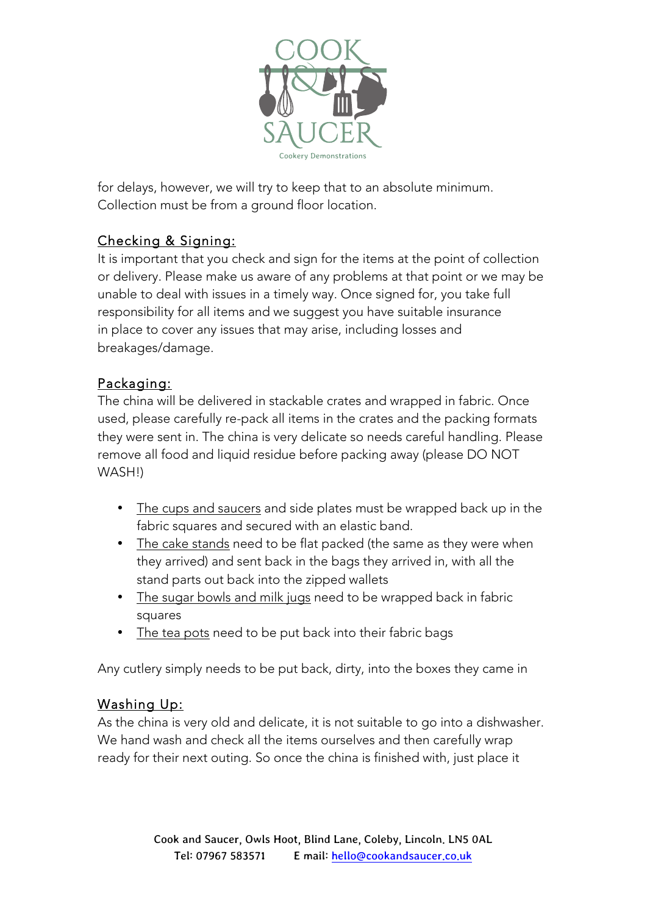

for delays, however, we will try to keep that to an absolute minimum. Collection must be from a ground floor location.

# Checking & Signing:

It is important that you check and sign for the items at the point of collection or delivery. Please make us aware of any problems at that point or we may be unable to deal with issues in a timely way. Once signed for, you take full responsibility for all items and we suggest you have suitable insurance in place to cover any issues that may arise, including losses and breakages/damage.

#### Packaging:

The china will be delivered in stackable crates and wrapped in fabric. Once used, please carefully re-pack all items in the crates and the packing formats they were sent in. The china is very delicate so needs careful handling. Please remove all food and liquid residue before packing away (please DO NOT WASH!)

- The cups and saucers and side plates must be wrapped back up in the fabric squares and secured with an elastic band.
- The cake stands need to be flat packed (the same as they were when they arrived) and sent back in the bags they arrived in, with all the stand parts out back into the zipped wallets
- The sugar bowls and milk jugs need to be wrapped back in fabric squares
- The tea pots need to be put back into their fabric bags

Any cutlery simply needs to be put back, dirty, into the boxes they came in

# Washing Up:

As the china is very old and delicate, it is not suitable to go into a dishwasher. We hand wash and check all the items ourselves and then carefully wrap ready for their next outing. So once the china is finished with, just place it